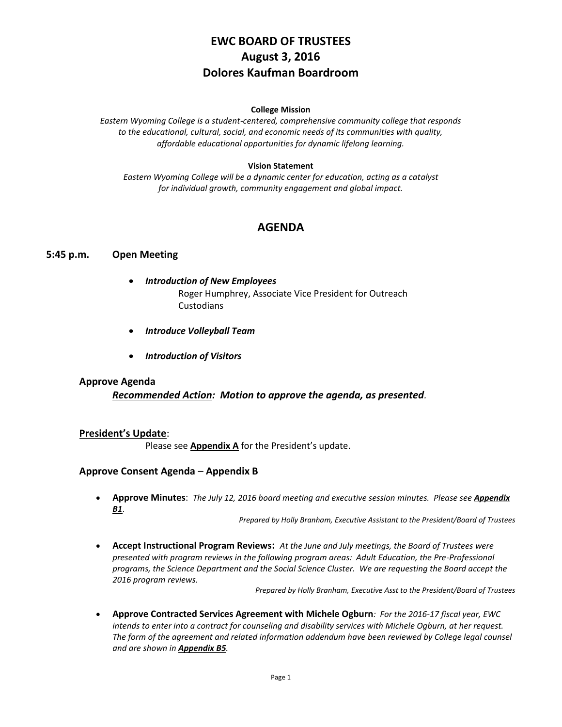# **EWC BOARD OF TRUSTEES August 3, 2016 Dolores Kaufman Boardroom**

#### **College Mission**

*Eastern Wyoming College is a student-centered, comprehensive community college that responds to the educational, cultural, social, and economic needs of its communities with quality, affordable educational opportunities for dynamic lifelong learning.*

#### **Vision Statement**

*Eastern Wyoming College will be a dynamic center for education, acting as a catalyst for individual growth, community engagement and global impact.*

# **AGENDA**

### **5:45 p.m. Open Meeting**

- *Introduction of New Employees* Roger Humphrey, Associate Vice President for Outreach Custodians
- *Introduce Volleyball Team*
- *Introduction of Visitors*

### **Approve Agenda**

*Recommended Action: Motion to approve the agenda, as presented.*

### **President's Update**:

Please see **Appendix A** for the President's update.

### **Approve Consent Agenda** – **Appendix B**

 **Approve Minutes**: *The July 12, 2016 board meeting and executive session minutes. Please see Appendix B1*.

*Prepared by Holly Branham, Executive Assistant to the President/Board of Trustees*

 **Accept Instructional Program Reviews:** *At the June and July meetings, the Board of Trustees were presented with program reviews in the following program areas: Adult Education, the Pre-Professional programs, the Science Department and the Social Science Cluster. We are requesting the Board accept the 2016 program reviews.*

*Prepared by Holly Branham, Executive Asst to the President/Board of Trustees*

 **Approve Contracted Services Agreement with Michele Ogburn***: For the 2016-17 fiscal year, EWC intends to enter into a contract for counseling and disability services with Michele Ogburn, at her request. The form of the agreement and related information addendum have been reviewed by College legal counsel and are shown in Appendix B5.*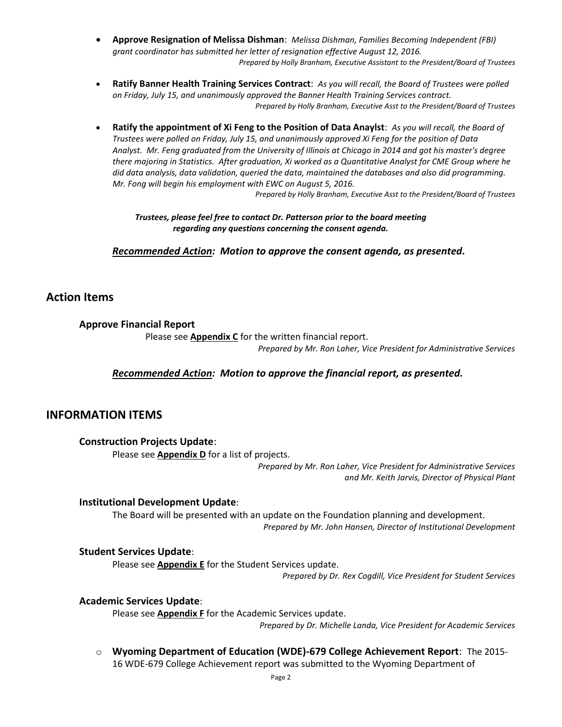- **Approve Resignation of Melissa Dishman**: *Melissa Dishman, Families Becoming Independent (FBI) grant coordinator has submitted her letter of resignation effective August 12, 2016. Prepared by Holly Branham, Executive Assistant to the President/Board of Trustees*
- **Ratify Banner Health Training Services Contract**: *As you will recall, the Board of Trustees were polled on Friday, July 15, and unanimously approved the Banner Health Training Services contract. Prepared by Holly Branham, Executive Asst to the President/Board of Trustees*
- **Ratify the appointment of Xi Feng to the Position of Data Anaylst**: *As you will recall, the Board of Trustees were polled on Friday, July 15, and unanimously approved Xi Feng for the position of Data Analyst. Mr. Feng graduated from the University of Illinois at Chicago in 2014 and got his master's degree there majoring in Statistics. After graduation, Xi worked as a Quantitative Analyst for CME Group where he did data analysis, data validation, queried the data, maintained the databases and also did programming. Mr. Fong will begin his employment with EWC on August 5, 2016.*

*Prepared by Holly Branham, Executive Asst to the President/Board of Trustees*

*Trustees, please feel free to contact Dr. Patterson prior to the board meeting regarding any questions concerning the consent agenda.*

*Recommended Action: Motion to approve the consent agenda, as presented.*

# **Action Items**

### **Approve Financial Report**

Please see **Appendix C** for the written financial report.

*Prepared by Mr. Ron Laher, Vice President for Administrative Services*

### *Recommended Action: Motion to approve the financial report, as presented.*

# **INFORMATION ITEMS**

### **Construction Projects Update**:

Please see **Appendix D** for a list of projects.

*Prepared by Mr. Ron Laher, Vice President for Administrative Services and Mr. Keith Jarvis, Director of Physical Plant*

### **Institutional Development Update**:

The Board will be presented with an update on the Foundation planning and development. *Prepared by Mr. John Hansen, Director of Institutional Development*

### **Student Services Update**:

Please see **Appendix E** for the Student Services update.

*Prepared by Dr. Rex Cogdill, Vice President for Student Services*

### **Academic Services Update**:

Please see **Appendix F** for the Academic Services update. *Prepared by Dr. Michelle Landa, Vice President for Academic Services*

o **Wyoming Department of Education (WDE)-679 College Achievement Report**: The 2015- 16 WDE-679 College Achievement report was submitted to the Wyoming Department of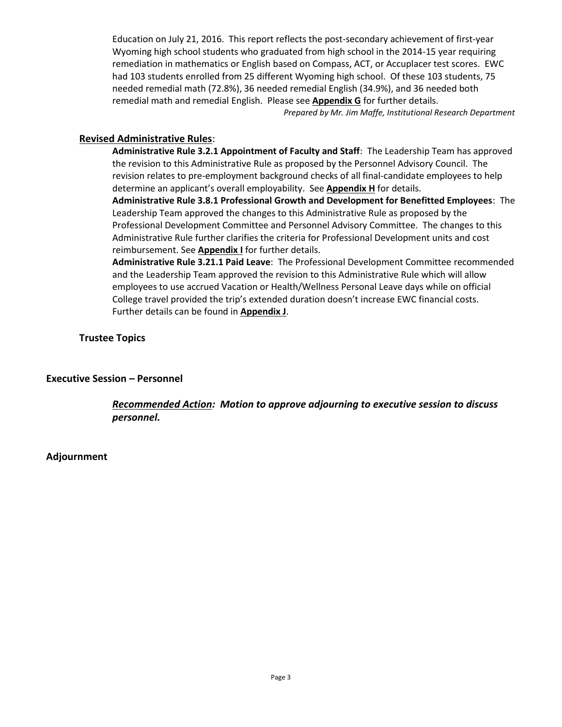Education on July 21, 2016. This report reflects the post-secondary achievement of first-year Wyoming high school students who graduated from high school in the 2014-15 year requiring remediation in mathematics or English based on Compass, ACT, or Accuplacer test scores. EWC had 103 students enrolled from 25 different Wyoming high school. Of these 103 students, 75 needed remedial math (72.8%), 36 needed remedial English (34.9%), and 36 needed both remedial math and remedial English. Please see **Appendix G** for further details.

*Prepared by Mr. Jim Maffe, Institutional Research Department*

## **Revised Administrative Rules**:

**Administrative Rule 3.2.1 Appointment of Faculty and Staff**: The Leadership Team has approved the revision to this Administrative Rule as proposed by the Personnel Advisory Council. The revision relates to pre-employment background checks of all final-candidate employees to help determine an applicant's overall employability. See **Appendix H** for details. **Administrative Rule 3.8.1 Professional Growth and Development for Benefitted Employees**: The

Leadership Team approved the changes to this Administrative Rule as proposed by the Professional Development Committee and Personnel Advisory Committee. The changes to this Administrative Rule further clarifies the criteria for Professional Development units and cost reimbursement. See **Appendix I** for further details.

**Administrative Rule 3.21.1 Paid Leave**: The Professional Development Committee recommended and the Leadership Team approved the revision to this Administrative Rule which will allow employees to use accrued Vacation or Health/Wellness Personal Leave days while on official College travel provided the trip's extended duration doesn't increase EWC financial costs. Further details can be found in **Appendix J**.

**Trustee Topics**

# **Executive Session – Personnel**

*Recommended Action: Motion to approve adjourning to executive session to discuss personnel.*

### **Adjournment**